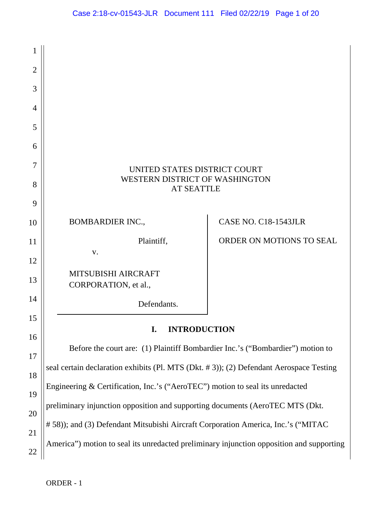| 1              |                                                                                          |                             |
|----------------|------------------------------------------------------------------------------------------|-----------------------------|
| $\overline{2}$ |                                                                                          |                             |
| 3              |                                                                                          |                             |
| 4              |                                                                                          |                             |
| 5              |                                                                                          |                             |
| 6              |                                                                                          |                             |
| 7<br>8         | UNITED STATES DISTRICT COURT<br>WESTERN DISTRICT OF WASHINGTON<br><b>AT SEATTLE</b>      |                             |
| 9              |                                                                                          |                             |
| 10             | <b>BOMBARDIER INC.,</b>                                                                  | <b>CASE NO. C18-1543JLR</b> |
| 11             | Plaintiff,                                                                               | ORDER ON MOTIONS TO SEAL    |
| 12             | V.                                                                                       |                             |
| 13             | MITSUBISHI AIRCRAFT<br>CORPORATION, et al.,                                              |                             |
| 14             | Defendants.                                                                              |                             |
| 15             | I.<br><b>INTRODUCTION</b>                                                                |                             |
| 16             |                                                                                          |                             |
| 17             | Before the court are: (1) Plaintiff Bombardier Inc.'s ("Bombardier") motion to           |                             |
| 18             | seal certain declaration exhibits (Pl. MTS (Dkt. #3)); (2) Defendant Aerospace Testing   |                             |
| 19             | Engineering & Certification, Inc.'s ("AeroTEC") motion to seal its unredacted            |                             |
| 20             | preliminary injunction opposition and supporting documents (AeroTEC MTS (Dkt.            |                             |
| 21             | # 58)); and (3) Defendant Mitsubishi Aircraft Corporation America, Inc.'s ("MITAC        |                             |
| 22             | America") motion to seal its unredacted preliminary injunction opposition and supporting |                             |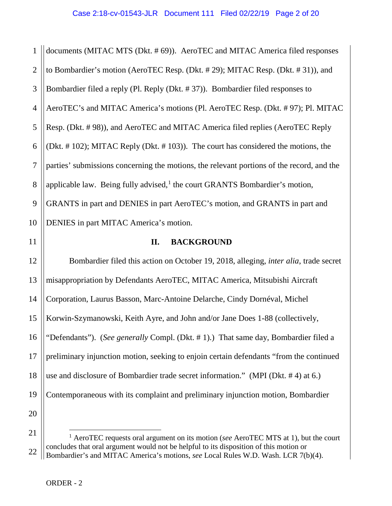1 2 3 4 5 6 7 8 9 10 documents (MITAC MTS (Dkt. # 69)). AeroTEC and MITAC America filed responses to Bombardier's motion (AeroTEC Resp. (Dkt. # 29); MITAC Resp. (Dkt. # 31)), and Bombardier filed a reply (Pl. Reply (Dkt. # 37)). Bombardier filed responses to AeroTEC's and MITAC America's motions (Pl. AeroTEC Resp. (Dkt. # 97); Pl. MITAC Resp. (Dkt. # 98)), and AeroTEC and MITAC America filed replies (AeroTEC Reply (Dkt. # 102); MITAC Reply (Dkt. # 103)). The court has considered the motions, the parties' submissions concerning the motions, the relevant portions of the record, and the applicable law. Being fully advised, $<sup>1</sup>$  $<sup>1</sup>$  $<sup>1</sup>$  the court GRANTS Bombardier's motion,</sup> GRANTS in part and DENIES in part AeroTEC's motion, and GRANTS in part and DENIES in part MITAC America's motion.

11

# **II. BACKGROUND**

12 13 14 15 16 17 18 19 20 Bombardier filed this action on October 19, 2018, alleging, *inter alia*, trade secret misappropriation by Defendants AeroTEC, MITAC America, Mitsubishi Aircraft Corporation, Laurus Basson, Marc-Antoine Delarche, Cindy Dornéval, Michel Korwin-Szymanowski, Keith Ayre, and John and/or Jane Does 1-88 (collectively, "Defendants"). (*See generally* Compl. (Dkt. # 1).) That same day, Bombardier filed a preliminary injunction motion, seeking to enjoin certain defendants "from the continued use and disclosure of Bombardier trade secret information." (MPI (Dkt. # 4) at 6.) Contemporaneous with its complaint and preliminary injunction motion, Bombardier

<span id="page-1-0"></span><sup>21</sup> 22 1 AeroTEC requests oral argument on its motion (*see* AeroTEC MTS at 1), but the court concludes that oral argument would not be helpful to its disposition of this motion or Bombardier's and MITAC America's motions, *see* Local Rules W.D. Wash. LCR 7(b)(4).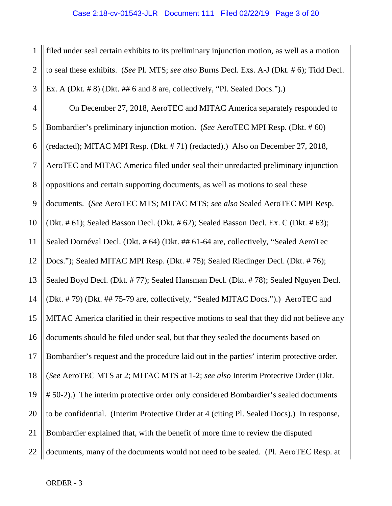1 2 3 filed under seal certain exhibits to its preliminary injunction motion, as well as a motion to seal these exhibits. (*See* Pl. MTS; *see also* Burns Decl. Exs. A-J (Dkt. # 6); Tidd Decl. Ex. A (Dkt. # 8) (Dkt. ## 6 and 8 are, collectively, "Pl. Sealed Docs.").)

4 5 6 7 8 9 10 11 12 13 14 15 16 17 18 19 20 21 22 On December 27, 2018, AeroTEC and MITAC America separately responded to Bombardier's preliminary injunction motion. (*See* AeroTEC MPI Resp. (Dkt. # 60) (redacted); MITAC MPI Resp. (Dkt. # 71) (redacted).) Also on December 27, 2018, AeroTEC and MITAC America filed under seal their unredacted preliminary injunction oppositions and certain supporting documents, as well as motions to seal these documents. (*See* AeroTEC MTS; MITAC MTS; *see also* Sealed AeroTEC MPI Resp. (Dkt. # 61); Sealed Basson Decl. (Dkt. # 62); Sealed Basson Decl. Ex. C (Dkt. # 63); Sealed Dornéval Decl. (Dkt. # 64) (Dkt. ## 61-64 are, collectively, "Sealed AeroTec Docs."); Sealed MITAC MPI Resp. (Dkt. # 75); Sealed Riedinger Decl. (Dkt. # 76); Sealed Boyd Decl. (Dkt. # 77); Sealed Hansman Decl. (Dkt. # 78); Sealed Nguyen Decl. (Dkt. # 79) (Dkt. ## 75-79 are, collectively, "Sealed MITAC Docs.").) AeroTEC and MITAC America clarified in their respective motions to seal that they did not believe any documents should be filed under seal, but that they sealed the documents based on Bombardier's request and the procedure laid out in the parties' interim protective order. (*See* AeroTEC MTS at 2; MITAC MTS at 1-2; *see also* Interim Protective Order (Dkt. # 50-2).) The interim protective order only considered Bombardier's sealed documents to be confidential. (Interim Protective Order at 4 (citing Pl. Sealed Docs).) In response, Bombardier explained that, with the benefit of more time to review the disputed documents, many of the documents would not need to be sealed. (Pl. AeroTEC Resp. at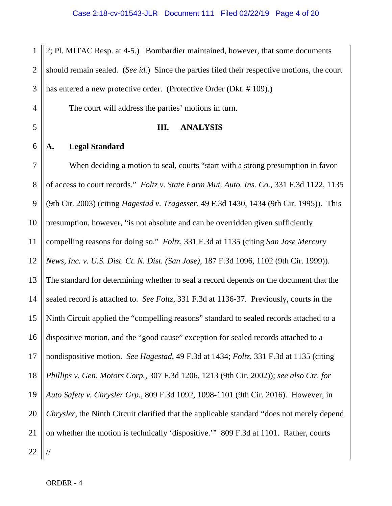1 2 3 2; Pl. MITAC Resp. at 4-5.) Bombardier maintained, however, that some documents should remain sealed. (*See id.*) Since the parties filed their respective motions, the court has entered a new protective order. (Protective Order (Dkt. #109).)

The court will address the parties' motions in turn.

#### **III. ANALYSIS**

### **A. Legal Standard**

4

5

6

7 8 9 10 11 12 13 14 15 16 17 18 19 20 21 22 When deciding a motion to seal, courts "start with a strong presumption in favor of access to court records." *Foltz v. State Farm Mut. Auto. Ins. Co.*, 331 F.3d 1122, 1135 (9th Cir. 2003) (citing *Hagestad v. Tragesser*, 49 F.3d 1430, 1434 (9th Cir. 1995)). This presumption, however, "is not absolute and can be overridden given sufficiently compelling reasons for doing so." *Foltz*, 331 F.3d at 1135 (citing *San Jose Mercury News, Inc. v. U.S. Dist. Ct. N. Dist. (San Jose)*, 187 F.3d 1096, 1102 (9th Cir. 1999)). The standard for determining whether to seal a record depends on the document that the sealed record is attached to. *See Foltz*, 331 F.3d at 1136-37. Previously, courts in the Ninth Circuit applied the "compelling reasons" standard to sealed records attached to a dispositive motion, and the "good cause" exception for sealed records attached to a nondispositive motion. *See Hagestad*, 49 F.3d at 1434; *Foltz*, 331 F.3d at 1135 (citing *Phillips v. Gen. Motors Corp.*, 307 F.3d 1206, 1213 (9th Cir. 2002)); *see also Ctr. for Auto Safety v. Chrysler Grp.*, 809 F.3d 1092, 1098-1101 (9th Cir. 2016). However, in *Chrysler*, the Ninth Circuit clarified that the applicable standard "does not merely depend on whether the motion is technically 'dispositive.'" 809 F.3d at 1101. Rather, courts //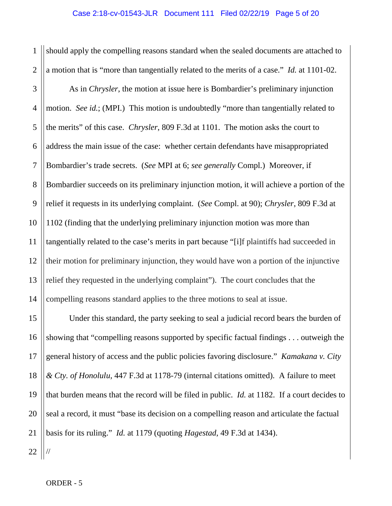1 2 should apply the compelling reasons standard when the sealed documents are attached to a motion that is "more than tangentially related to the merits of a case." *Id.* at 1101-02.

3 4 5 6 7 8 9 10 11 12 13 14 As in *Chrysler*, the motion at issue here is Bombardier's preliminary injunction motion. *See id.*; (MPI.) This motion is undoubtedly "more than tangentially related to the merits" of this case. *Chrysler*, 809 F.3d at 1101. The motion asks the court to address the main issue of the case: whether certain defendants have misappropriated Bombardier's trade secrets. (*See* MPI at 6; *see generally* Compl.) Moreover, if Bombardier succeeds on its preliminary injunction motion, it will achieve a portion of the relief it requests in its underlying complaint. (*See* Compl. at 90); *Chrysler*, 809 F.3d at 1102 (finding that the underlying preliminary injunction motion was more than tangentially related to the case's merits in part because "[i]f plaintiffs had succeeded in their motion for preliminary injunction, they would have won a portion of the injunctive relief they requested in the underlying complaint"). The court concludes that the compelling reasons standard applies to the three motions to seal at issue.

15 16 17 18 19 20 21 Under this standard, the party seeking to seal a judicial record bears the burden of showing that "compelling reasons supported by specific factual findings . . . outweigh the general history of access and the public policies favoring disclosure." *Kamakana v. City & Cty. of Honolulu*, 447 F.3d at 1178-79 (internal citations omitted). A failure to meet that burden means that the record will be filed in public. *Id.* at 1182. If a court decides to seal a record, it must "base its decision on a compelling reason and articulate the factual basis for its ruling." *Id.* at 1179 (quoting *Hagestad*, 49 F.3d at 1434).

22

//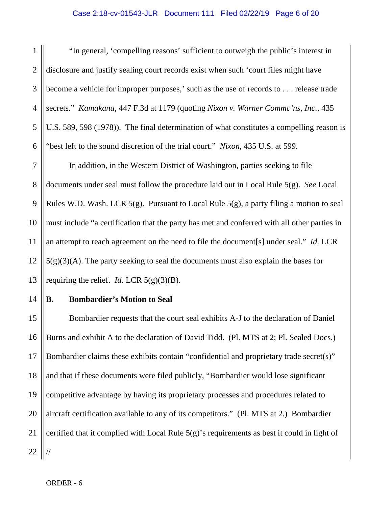#### Case 2:18-cv-01543-JLR Document 111 Filed 02/22/19 Page 6 of 20

2

3

4

5

6

1

"In general, 'compelling reasons' sufficient to outweigh the public's interest in disclosure and justify sealing court records exist when such 'court files might have become a vehicle for improper purposes,' such as the use of records to . . . release trade secrets." *Kamakana*, 447 F.3d at 1179 (quoting *Nixon v. Warner Commc'ns, Inc.*, 435 U.S. 589, 598 (1978)). The final determination of what constitutes a compelling reason is "best left to the sound discretion of the trial court." *Nixon*, 435 U.S. at 599.

7 8 9 10 11 12 13 In addition, in the Western District of Washington, parties seeking to file documents under seal must follow the procedure laid out in Local Rule 5(g). *See* Local Rules W.D. Wash. LCR  $5(g)$ . Pursuant to Local Rule  $5(g)$ , a party filing a motion to seal must include "a certification that the party has met and conferred with all other parties in an attempt to reach agreement on the need to file the document[s] under seal." *Id.* LCR  $5(g)(3)(A)$ . The party seeking to seal the documents must also explain the bases for requiring the relief. *Id.* LCR  $5(g)(3)(B)$ .

#### 14 **B. Bombardier's Motion to Seal**

15 16 17 18 19 20 21 22 Bombardier requests that the court seal exhibits A-J to the declaration of Daniel Burns and exhibit A to the declaration of David Tidd. (Pl. MTS at 2; Pl. Sealed Docs.) Bombardier claims these exhibits contain "confidential and proprietary trade secret(s)" and that if these documents were filed publicly, "Bombardier would lose significant competitive advantage by having its proprietary processes and procedures related to aircraft certification available to any of its competitors." (Pl. MTS at 2.) Bombardier certified that it complied with Local Rule 5(g)'s requirements as best it could in light of //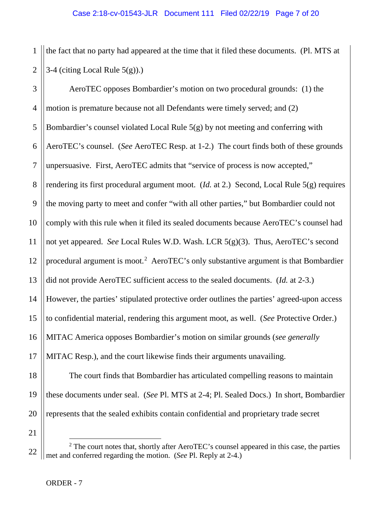1 2 the fact that no party had appeared at the time that it filed these documents. (Pl. MTS at 3-4 (citing Local Rule  $5(g)$ ).)

3 4 5 6 7 8 9 10 11 12 13 14 15 16 17 18 AeroTEC opposes Bombardier's motion on two procedural grounds: (1) the motion is premature because not all Defendants were timely served; and (2) Bombardier's counsel violated Local Rule 5(g) by not meeting and conferring with AeroTEC's counsel. (*See* AeroTEC Resp. at 1-2.) The court finds both of these grounds unpersuasive. First, AeroTEC admits that "service of process is now accepted," rendering its first procedural argument moot. (*Id.* at 2.) Second, Local Rule 5(g) requires the moving party to meet and confer "with all other parties," but Bombardier could not comply with this rule when it filed its sealed documents because AeroTEC's counsel had not yet appeared. *See* Local Rules W.D. Wash. LCR 5(g)(3). Thus, AeroTEC's second procedural argument is moot.<sup>[2](#page-6-0)</sup> AeroTEC's only substantive argument is that Bombardier did not provide AeroTEC sufficient access to the sealed documents. (*Id.* at 2-3.) However, the parties' stipulated protective order outlines the parties' agreed-upon access to confidential material, rendering this argument moot, as well. (*See* Protective Order.) MITAC America opposes Bombardier's motion on similar grounds (*see generally*  MITAC Resp.), and the court likewise finds their arguments unavailing.

The court finds that Bombardier has articulated compelling reasons to maintain these documents under seal. (*See* Pl. MTS at 2-4; Pl. Sealed Docs.) In short, Bombardier represents that the sealed exhibits contain confidential and proprietary trade secret

21

19

20

<span id="page-6-0"></span><sup>22</sup>  $2$  The court notes that, shortly after AeroTEC's counsel appeared in this case, the parties met and conferred regarding the motion. (*See* Pl. Reply at 2-4.)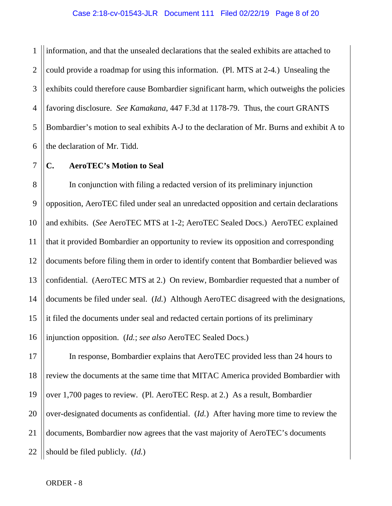1 2 3 4 5 6 information, and that the unsealed declarations that the sealed exhibits are attached to could provide a roadmap for using this information. (Pl. MTS at 2-4*.*) Unsealing the exhibits could therefore cause Bombardier significant harm, which outweighs the policies favoring disclosure. *See Kamakana*, 447 F.3d at 1178-79. Thus, the court GRANTS Bombardier's motion to seal exhibits A-J to the declaration of Mr. Burns and exhibit A to the declaration of Mr. Tidd.

## **C. AeroTEC's Motion to Seal**

7

8 9 10 11 12 13 14 15 16 In conjunction with filing a redacted version of its preliminary injunction opposition, AeroTEC filed under seal an unredacted opposition and certain declarations and exhibits. (*See* AeroTEC MTS at 1-2; AeroTEC Sealed Docs.) AeroTEC explained that it provided Bombardier an opportunity to review its opposition and corresponding documents before filing them in order to identify content that Bombardier believed was confidential. (AeroTEC MTS at 2.) On review, Bombardier requested that a number of documents be filed under seal. (*Id.*) Although AeroTEC disagreed with the designations, it filed the documents under seal and redacted certain portions of its preliminary injunction opposition. (*Id.*; *see also* AeroTEC Sealed Docs.)

17 18 19 20 21 22 In response, Bombardier explains that AeroTEC provided less than 24 hours to review the documents at the same time that MITAC America provided Bombardier with over 1,700 pages to review. (Pl. AeroTEC Resp. at 2.) As a result, Bombardier over-designated documents as confidential. (*Id.*) After having more time to review the documents, Bombardier now agrees that the vast majority of AeroTEC's documents should be filed publicly. (*Id.*)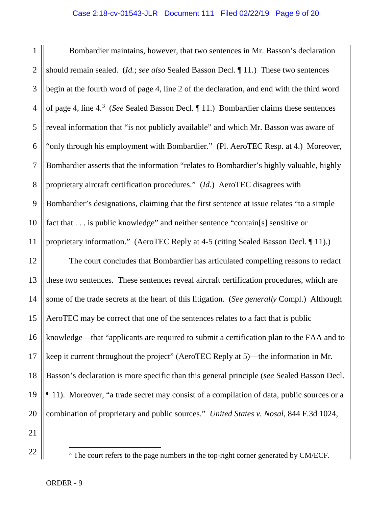#### Case 2:18-cv-01543-JLR Document 111 Filed 02/22/19 Page 9 of 20

1 2 3 4 5 6 7 8 9 10 11 Bombardier maintains, however, that two sentences in Mr. Basson's declaration should remain sealed. (*Id.*; *see also* Sealed Basson Decl. ¶ 11.) These two sentences begin at the fourth word of page 4, line 2 of the declaration, and end with the third word of page 4, line 4. [3](#page-8-0) (*See* Sealed Basson Decl. ¶ 11.) Bombardier claims these sentences reveal information that "is not publicly available" and which Mr. Basson was aware of "only through his employment with Bombardier." (Pl. AeroTEC Resp. at 4.) Moreover, Bombardier asserts that the information "relates to Bombardier's highly valuable, highly proprietary aircraft certification procedures." (*Id.*) AeroTEC disagrees with Bombardier's designations, claiming that the first sentence at issue relates "to a simple fact that . . . is public knowledge" and neither sentence "contain[s] sensitive or proprietary information." (AeroTEC Reply at 4-5 (citing Sealed Basson Decl. ¶ 11).)

12 13 14 15 16 17 18 19 20 The court concludes that Bombardier has articulated compelling reasons to redact these two sentences. These sentences reveal aircraft certification procedures, which are some of the trade secrets at the heart of this litigation. (*See generally* Compl.) Although AeroTEC may be correct that one of the sentences relates to a fact that is public knowledge—that "applicants are required to submit a certification plan to the FAA and to keep it current throughout the project" (AeroTEC Reply at 5)—the information in Mr. Basson's declaration is more specific than this general principle (*see* Sealed Basson Decl. ¶ 11). Moreover, "a trade secret may consist of a compilation of data, public sources or a combination of proprietary and public sources." *United States v. Nosal*, 844 F.3d 1024,

21

<span id="page-8-0"></span>22

<sup>&</sup>lt;sup>3</sup> The court refers to the page numbers in the top-right corner generated by CM/ECF.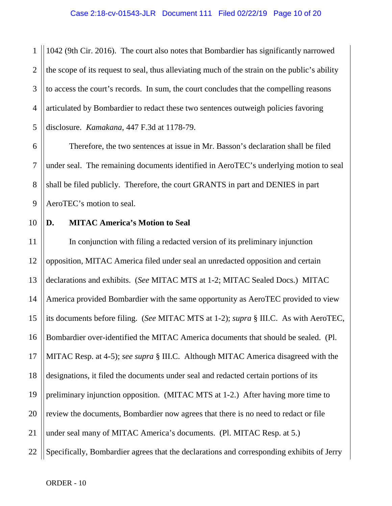1 2 3 4 5 1042 (9th Cir. 2016). The court also notes that Bombardier has significantly narrowed the scope of its request to seal, thus alleviating much of the strain on the public's ability to access the court's records. In sum, the court concludes that the compelling reasons articulated by Bombardier to redact these two sentences outweigh policies favoring disclosure. *Kamakana*, 447 F.3d at 1178-79.

6 7 8 9 Therefore, the two sentences at issue in Mr. Basson's declaration shall be filed under seal. The remaining documents identified in AeroTEC's underlying motion to seal shall be filed publicly. Therefore, the court GRANTS in part and DENIES in part AeroTEC's motion to seal.

10 **D. MITAC America's Motion to Seal**

11 12 13 14 15 16 17 18 19 20 21 22 In conjunction with filing a redacted version of its preliminary injunction opposition, MITAC America filed under seal an unredacted opposition and certain declarations and exhibits. (*See* MITAC MTS at 1-2; MITAC Sealed Docs.) MITAC America provided Bombardier with the same opportunity as AeroTEC provided to view its documents before filing. (*See* MITAC MTS at 1-2); *supra* § III.C. As with AeroTEC, Bombardier over-identified the MITAC America documents that should be sealed. (Pl. MITAC Resp. at 4-5); *see supra* § III.C. Although MITAC America disagreed with the designations, it filed the documents under seal and redacted certain portions of its preliminary injunction opposition. (MITAC MTS at 1-2.) After having more time to review the documents, Bombardier now agrees that there is no need to redact or file under seal many of MITAC America's documents. (Pl. MITAC Resp. at 5.) Specifically, Bombardier agrees that the declarations and corresponding exhibits of Jerry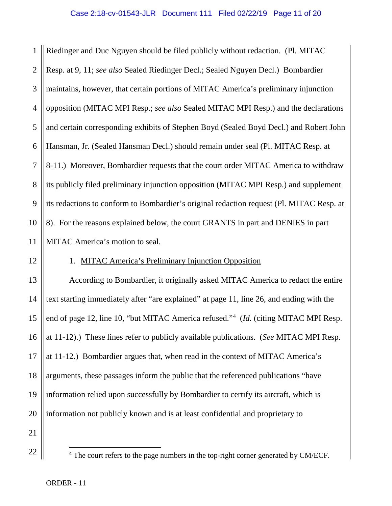1 2 3 4 5 6 7 8 9 10 11 Riedinger and Duc Nguyen should be filed publicly without redaction. (Pl. MITAC Resp. at 9, 11; *see also* Sealed Riedinger Decl.; Sealed Nguyen Decl.) Bombardier maintains, however, that certain portions of MITAC America's preliminary injunction opposition (MITAC MPI Resp.; *see also* Sealed MITAC MPI Resp.) and the declarations and certain corresponding exhibits of Stephen Boyd (Sealed Boyd Decl.) and Robert John Hansman, Jr. (Sealed Hansman Decl.) should remain under seal (Pl. MITAC Resp. at 8-11.) Moreover, Bombardier requests that the court order MITAC America to withdraw its publicly filed preliminary injunction opposition (MITAC MPI Resp.) and supplement its redactions to conform to Bombardier's original redaction request (Pl. MITAC Resp. at 8). For the reasons explained below, the court GRANTS in part and DENIES in part MITAC America's motion to seal.

12

## 1. MITAC America's Preliminary Injunction Opposition

13 14 15 16 17 18 19 20 According to Bombardier, it originally asked MITAC America to redact the entire text starting immediately after "are explained" at page 11, line 26, and ending with the end of page 12, line 10, "but MITAC America refused."<sup>[4](#page-10-0)</sup> (*Id.* (citing MITAC MPI Resp. at 11-12).) These lines refer to publicly available publications. (*See* MITAC MPI Resp. at 11-12.) Bombardier argues that, when read in the context of MITAC America's arguments, these passages inform the public that the referenced publications "have information relied upon successfully by Bombardier to certify its aircraft, which is information not publicly known and is at least confidential and proprietary to

<span id="page-10-0"></span>21 22

<sup>&</sup>lt;sup>4</sup> The court refers to the page numbers in the top-right corner generated by CM/ECF.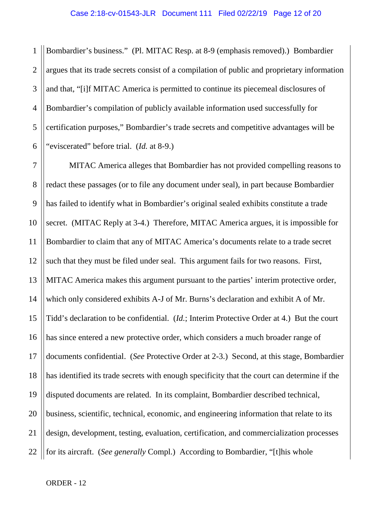1 2 3 4 5 6 Bombardier's business." (Pl. MITAC Resp. at 8-9 (emphasis removed).) Bombardier argues that its trade secrets consist of a compilation of public and proprietary information and that, "[i]f MITAC America is permitted to continue its piecemeal disclosures of Bombardier's compilation of publicly available information used successfully for certification purposes," Bombardier's trade secrets and competitive advantages will be "eviscerated" before trial. (*Id.* at 8-9.)

7 8 9 10 11 12 13 14 15 16 17 18 19 20 21 22 MITAC America alleges that Bombardier has not provided compelling reasons to redact these passages (or to file any document under seal), in part because Bombardier has failed to identify what in Bombardier's original sealed exhibits constitute a trade secret. (MITAC Reply at 3-4.) Therefore, MITAC America argues, it is impossible for Bombardier to claim that any of MITAC America's documents relate to a trade secret such that they must be filed under seal. This argument fails for two reasons. First, MITAC America makes this argument pursuant to the parties' interim protective order, which only considered exhibits A-J of Mr. Burns's declaration and exhibit A of Mr. Tidd's declaration to be confidential. (*Id.*; Interim Protective Order at 4.) But the court has since entered a new protective order, which considers a much broader range of documents confidential. (*See* Protective Order at 2-3.) Second, at this stage, Bombardier has identified its trade secrets with enough specificity that the court can determine if the disputed documents are related. In its complaint, Bombardier described technical, business, scientific, technical, economic, and engineering information that relate to its design, development, testing, evaluation, certification, and commercialization processes for its aircraft. (*See generally* Compl.)According to Bombardier, "[t]his whole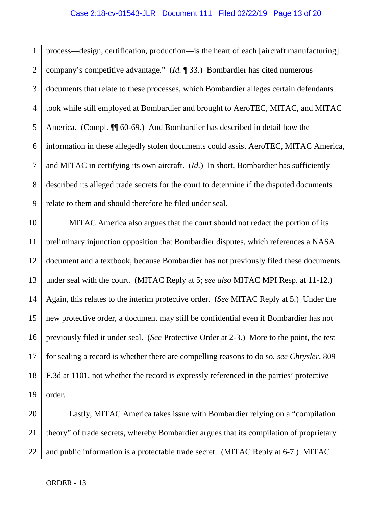1 2 3 4 5 6 7 8 9 process—design, certification, production—is the heart of each [aircraft manufacturing] company's competitive advantage." (*Id.* ¶ 33.) Bombardier has cited numerous documents that relate to these processes, which Bombardier alleges certain defendants took while still employed at Bombardier and brought to AeroTEC, MITAC, and MITAC America. (Compl.  $\P$  60-69.) And Bombardier has described in detail how the information in these allegedly stolen documents could assist AeroTEC, MITAC America, and MITAC in certifying its own aircraft. (*Id.*) In short, Bombardier has sufficiently described its alleged trade secrets for the court to determine if the disputed documents relate to them and should therefore be filed under seal.

10 11 12 13 14 15 16 17 18 19 MITAC America also argues that the court should not redact the portion of its preliminary injunction opposition that Bombardier disputes, which references a NASA document and a textbook, because Bombardier has not previously filed these documents under seal with the court. (MITAC Reply at 5; *see also* MITAC MPI Resp. at 11-12.) Again, this relates to the interim protective order. (*See* MITAC Reply at 5.) Under the new protective order, a document may still be confidential even if Bombardier has not previously filed it under seal. (*See* Protective Order at 2-3.) More to the point, the test for sealing a record is whether there are compelling reasons to do so, *see Chrysler*, 809 F.3d at 1101, not whether the record is expressly referenced in the parties' protective order.

20 21 22 Lastly, MITAC America takes issue with Bombardier relying on a "compilation theory" of trade secrets, whereby Bombardier argues that its compilation of proprietary and public information is a protectable trade secret. (MITAC Reply at 6-7.) MITAC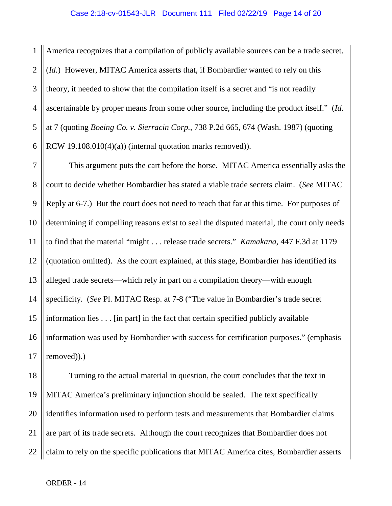1 2 3 4 5 6 America recognizes that a compilation of publicly available sources can be a trade secret. (*Id.*) However, MITAC America asserts that, if Bombardier wanted to rely on this theory, it needed to show that the compilation itself is a secret and "is not readily ascertainable by proper means from some other source, including the product itself." (*Id.*  at 7 (quoting *Boeing Co. v. Sierracin Corp.*, 738 P.2d 665, 674 (Wash. 1987) (quoting RCW 19.108.010(4)(a)) (internal quotation marks removed)).

7 8 9 10 11 12 13 14 15 16 17 This argument puts the cart before the horse. MITAC America essentially asks the court to decide whether Bombardier has stated a viable trade secrets claim. (*See* MITAC Reply at 6-7.) But the court does not need to reach that far at this time. For purposes of determining if compelling reasons exist to seal the disputed material, the court only needs to find that the material "might . . . release trade secrets." *Kamakana*, 447 F.3d at 1179 (quotation omitted). As the court explained, at this stage, Bombardier has identified its alleged trade secrets—which rely in part on a compilation theory—with enough specificity. (*See* Pl. MITAC Resp. at 7-8 ("The value in Bombardier's trade secret information lies . . . [in part] in the fact that certain specified publicly available information was used by Bombardier with success for certification purposes." (emphasis removed)).)

18 19 20 21 22 Turning to the actual material in question, the court concludes that the text in MITAC America's preliminary injunction should be sealed. The text specifically identifies information used to perform tests and measurements that Bombardier claims are part of its trade secrets. Although the court recognizes that Bombardier does not claim to rely on the specific publications that MITAC America cites, Bombardier asserts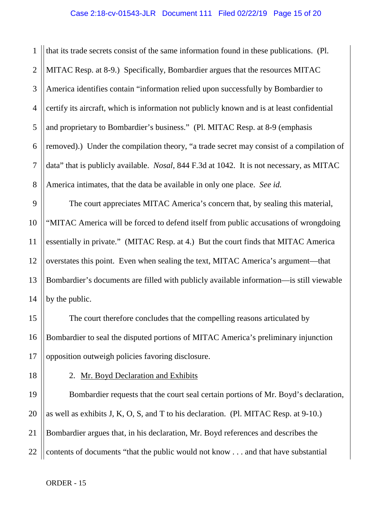1 2 3 4 5 6 7 8 that its trade secrets consist of the same information found in these publications. (Pl. MITAC Resp. at 8-9.) Specifically, Bombardier argues that the resources MITAC America identifies contain "information relied upon successfully by Bombardier to certify its aircraft, which is information not publicly known and is at least confidential and proprietary to Bombardier's business." (Pl. MITAC Resp. at 8-9 (emphasis removed).) Under the compilation theory, "a trade secret may consist of a compilation of data" that is publicly available. *Nosal*, 844 F.3d at 1042. It is not necessary, as MITAC America intimates, that the data be available in only one place. *See id.*

9 10 11 12 13 14 The court appreciates MITAC America's concern that, by sealing this material, "MITAC America will be forced to defend itself from public accusations of wrongdoing essentially in private." (MITAC Resp. at 4.) But the court finds that MITAC America overstates this point. Even when sealing the text, MITAC America's argument—that Bombardier's documents are filled with publicly available information—is still viewable by the public.

The court therefore concludes that the compelling reasons articulated by Bombardier to seal the disputed portions of MITAC America's preliminary injunction opposition outweigh policies favoring disclosure.

15

16

2. Mr. Boyd Declaration and Exhibits

21 22 Bombardier requests that the court seal certain portions of Mr. Boyd's declaration, as well as exhibits J, K, O, S, and T to his declaration. (Pl. MITAC Resp. at 9-10.) Bombardier argues that, in his declaration, Mr. Boyd references and describes the contents of documents "that the public would not know . . . and that have substantial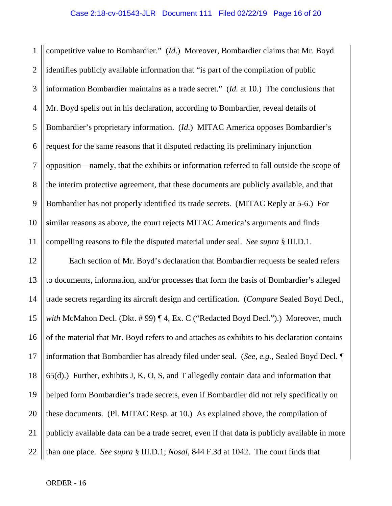1 2 3 4 5 6 7 8 9 10 11 competitive value to Bombardier." (*Id*.) Moreover, Bombardier claims that Mr. Boyd identifies publicly available information that "is part of the compilation of public information Bombardier maintains as a trade secret." (*Id.* at 10.) The conclusions that Mr. Boyd spells out in his declaration, according to Bombardier, reveal details of Bombardier's proprietary information. (*Id.*) MITAC America opposes Bombardier's request for the same reasons that it disputed redacting its preliminary injunction opposition—namely, that the exhibits or information referred to fall outside the scope of the interim protective agreement, that these documents are publicly available, and that Bombardier has not properly identified its trade secrets. (MITAC Reply at 5-6.) For similar reasons as above, the court rejects MITAC America's arguments and finds compelling reasons to file the disputed material under seal. *See supra* § III.D.1.

12 13 14 15 16 17 18 19 20 21 22 Each section of Mr. Boyd's declaration that Bombardier requests be sealed refers to documents, information, and/or processes that form the basis of Bombardier's alleged trade secrets regarding its aircraft design and certification. (*Compare* Sealed Boyd Decl., *with* McMahon Decl. (Dkt. # 99) ¶ 4, Ex. C ("Redacted Boyd Decl.").) Moreover, much of the material that Mr. Boyd refers to and attaches as exhibits to his declaration contains information that Bombardier has already filed under seal. (*See, e.g.*, Sealed Boyd Decl. ¶ 65(d).) Further, exhibits J, K, O, S, and T allegedly contain data and information that helped form Bombardier's trade secrets, even if Bombardier did not rely specifically on these documents. (Pl. MITAC Resp. at 10.) As explained above, the compilation of publicly available data can be a trade secret, even if that data is publicly available in more than one place. *See supra* § III.D.1; *Nosal*, 844 F.3d at 1042. The court finds that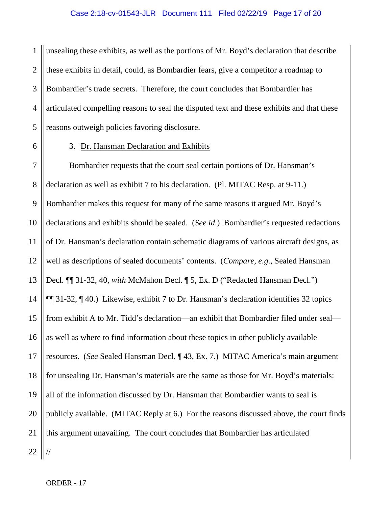1 2 3 4 5 unsealing these exhibits, as well as the portions of Mr. Boyd's declaration that describe these exhibits in detail, could, as Bombardier fears, give a competitor a roadmap to Bombardier's trade secrets. Therefore, the court concludes that Bombardier has articulated compelling reasons to seal the disputed text and these exhibits and that these reasons outweigh policies favoring disclosure.

6

#### 3. Dr. Hansman Declaration and Exhibits

7 8 9 10 11 12 13 14 15 16 17 18 19 20 21 22 Bombardier requests that the court seal certain portions of Dr. Hansman's declaration as well as exhibit 7 to his declaration. (Pl. MITAC Resp. at 9-11.) Bombardier makes this request for many of the same reasons it argued Mr. Boyd's declarations and exhibits should be sealed. (*See id*.) Bombardier's requested redactions of Dr. Hansman's declaration contain schematic diagrams of various aircraft designs, as well as descriptions of sealed documents' contents. (*Compare, e.g.*, Sealed Hansman Decl. ¶¶ 31-32, 40, *with* McMahon Decl. ¶ 5, Ex. D ("Redacted Hansman Decl.") ¶¶ 31-32, ¶ 40.) Likewise, exhibit 7 to Dr. Hansman's declaration identifies 32 topics from exhibit A to Mr. Tidd's declaration—an exhibit that Bombardier filed under seal as well as where to find information about these topics in other publicly available resources. (*See* Sealed Hansman Decl. ¶ 43, Ex. 7.) MITAC America's main argument for unsealing Dr. Hansman's materials are the same as those for Mr. Boyd's materials: all of the information discussed by Dr. Hansman that Bombardier wants to seal is publicly available. (MITAC Reply at 6.) For the reasons discussed above, the court finds this argument unavailing. The court concludes that Bombardier has articulated //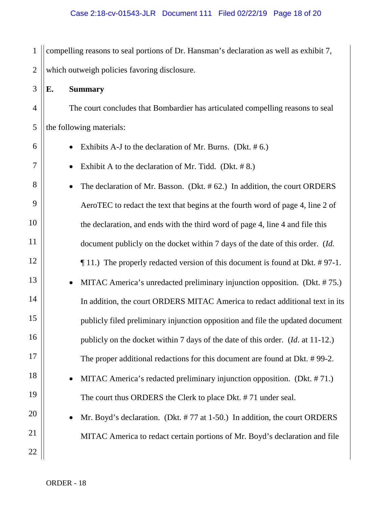1 2 compelling reasons to seal portions of Dr. Hansman's declaration as well as exhibit 7, which outweigh policies favoring disclosure.

## **E. Summary**

3

4

5

6

7

8

9

10

11

12

13

14

15

16

17

18

19

20

21

22

The court concludes that Bombardier has articulated compelling reasons to seal the following materials:

- - Exhibits A-J to the declaration of Mr. Burns. (Dkt.  $# 6$ .)
	- Exhibit A to the declaration of Mr. Tidd. (Dkt. #8.)
- The declaration of Mr. Basson. (Dkt. #62.) In addition, the court ORDERS AeroTEC to redact the text that begins at the fourth word of page 4, line 2 of the declaration, and ends with the third word of page 4, line 4 and file this document publicly on the docket within 7 days of the date of this order. (*Id.*  ¶ 11.) The properly redacted version of this document is found at Dkt. # 97-1.
- MITAC America's unredacted preliminary injunction opposition. (Dkt. # 75.) In addition, the court ORDERS MITAC America to redact additional text in its publicly filed preliminary injunction opposition and file the updated document publicly on the docket within 7 days of the date of this order. (*Id*. at 11-12.) The proper additional redactions for this document are found at Dkt. # 99-2.
	- MITAC America's redacted preliminary injunction opposition. (Dkt. # 71.) The court thus ORDERS the Clerk to place Dkt. # 71 under seal.
	- Mr. Boyd's declaration. (Dkt. #77 at 1-50.) In addition, the court ORDERS MITAC America to redact certain portions of Mr. Boyd's declaration and file

ORDER - 18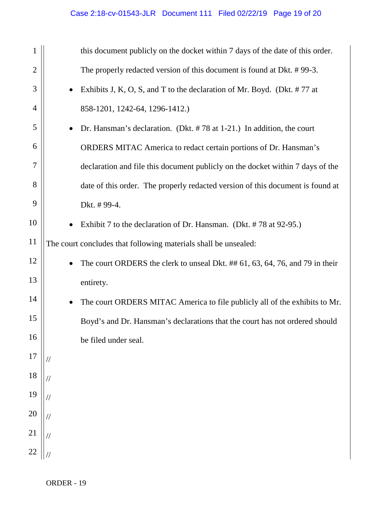| 1              |           | this document publicly on the docket within 7 days of the date of this order.  |
|----------------|-----------|--------------------------------------------------------------------------------|
| $\mathbf{2}$   |           | The properly redacted version of this document is found at Dkt. #99-3.         |
| 3              |           | Exhibits J, K, O, S, and T to the declaration of Mr. Boyd. (Dkt. #77 at        |
| $\overline{4}$ |           | 858-1201, 1242-64, 1296-1412.)                                                 |
| 5              | $\bullet$ | Dr. Hansman's declaration. (Dkt. $#78$ at 1-21.) In addition, the court        |
| 6              |           | ORDERS MITAC America to redact certain portions of Dr. Hansman's               |
| $\overline{7}$ |           | declaration and file this document publicly on the docket within 7 days of the |
| 8              |           | date of this order. The properly redacted version of this document is found at |
| 9              |           | Dkt. #99-4.                                                                    |
| 10             |           | Exhibit 7 to the declaration of Dr. Hansman. (Dkt. #78 at 92-95.)              |
| 11             |           | The court concludes that following materials shall be unsealed:                |
| 12             |           | The court ORDERS the clerk to unseal Dkt. ## 61, 63, 64, 76, and 79 in their   |
| 13             |           | entirety.                                                                      |
| 14             |           | The court ORDERS MITAC America to file publicly all of the exhibits to Mr.     |
| 15             |           | Boyd's and Dr. Hansman's declarations that the court has not ordered should    |
| 16             |           | be filed under seal.                                                           |
| 17             |           |                                                                                |
| 18             |           |                                                                                |
| 19             |           |                                                                                |
| 20             |           |                                                                                |
| 21             |           |                                                                                |
| 22             |           |                                                                                |